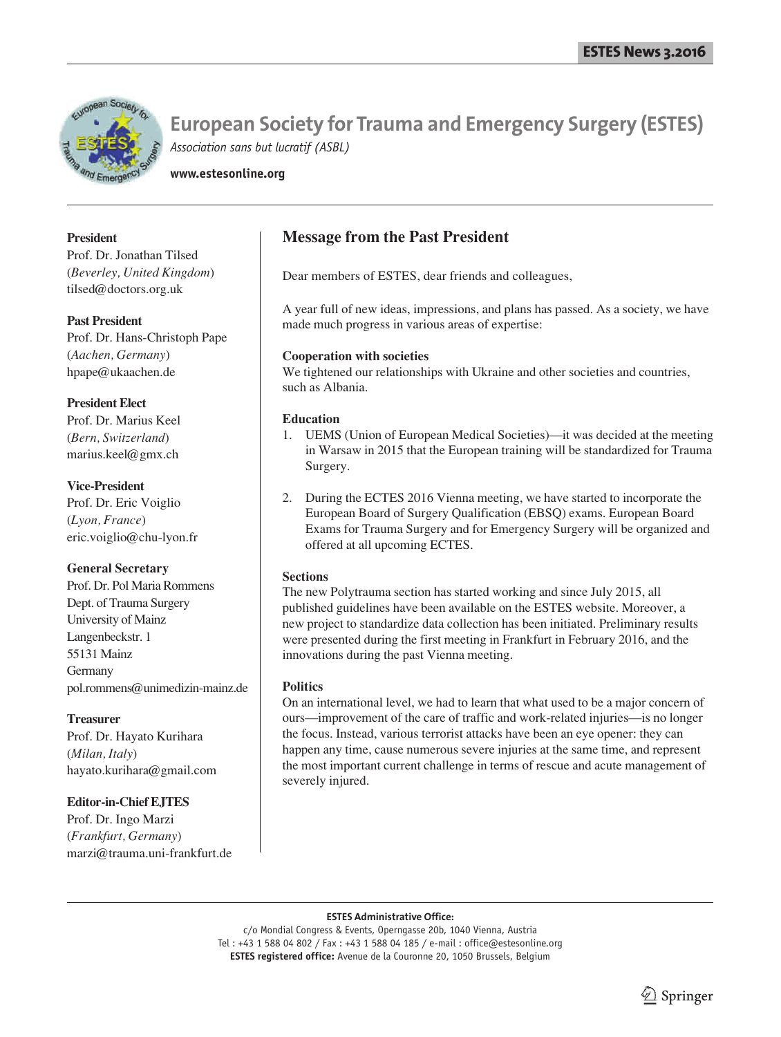

**www.estesonline.org**

#### **President**

Prof. Dr. Jonathan Tilsed (*Beverley, United Kingdom*) tilsed@doctors.org.uk

#### **Past President**

Prof. Dr. Hans-Christoph Pape (*Aachen, Germany*) hpape@ukaachen.de

#### **President Elect**

Prof. Dr. Marius Keel (*Bern, Switzerland*) marius.keel@gmx.ch

#### **Vice-President**

Prof. Dr. Eric Voiglio (*Lyon, France*) eric.voiglio@chu-lyon.fr

#### **General Secretary**

Prof. Dr. Pol Maria Rommens Dept. of Trauma Surgery University of Mainz Langenbeckstr. 1 55131 Mainz Germany pol.rommens@unimedizin-mainz.de

#### **Treasurer**

Prof. Dr. Hayato Kurihara (*Milan, Italy*) hayato.kurihara@gmail.com

### **Editor-in-Chief EJTES**

Prof. Dr. Ingo Marzi (*Frankfurt, Germany*) marzi@trauma.uni-frankfurt.de

## **Message from the Past President**

Dear members of ESTES, dear friends and colleagues,

A year full of new ideas, impressions, and plans has passed. As a society, we have made much progress in various areas of expertise:

#### **Cooperation with societies**

We tightened our relationships with Ukraine and other societies and countries, such as Albania.

#### **Education**

- 1. UEMS (Union of European Medical Societies)—it was decided at the meeting in Warsaw in 2015 that the European training will be standardized for Trauma Surgery.
- 2. During the ECTES 2016 Vienna meeting, we have started to incorporate the European Board of Surgery Qualification (EBSQ) exams. European Board Exams for Trauma Surgery and for Emergency Surgery will be organized and offered at all upcoming ECTES.

#### **Sections**

The new Polytrauma section has started working and since July 2015, all published guidelines have been available on the ESTES website. Moreover, a new project to standardize data collection has been initiated. Preliminary results were presented during the first meeting in Frankfurt in February 2016, and the innovations during the past Vienna meeting.

#### **Politics**

On an international level, we had to learn that what used to be a major concern of ours—improvement of the care of traffic and work-related injuries—is no longer the focus. Instead, various terrorist attacks have been an eye opener: they can happen any time, cause numerous severe injuries at the same time, and represent the most important current challenge in terms of rescue and acute management of severely injured.

#### **ESTES Administrative Office:**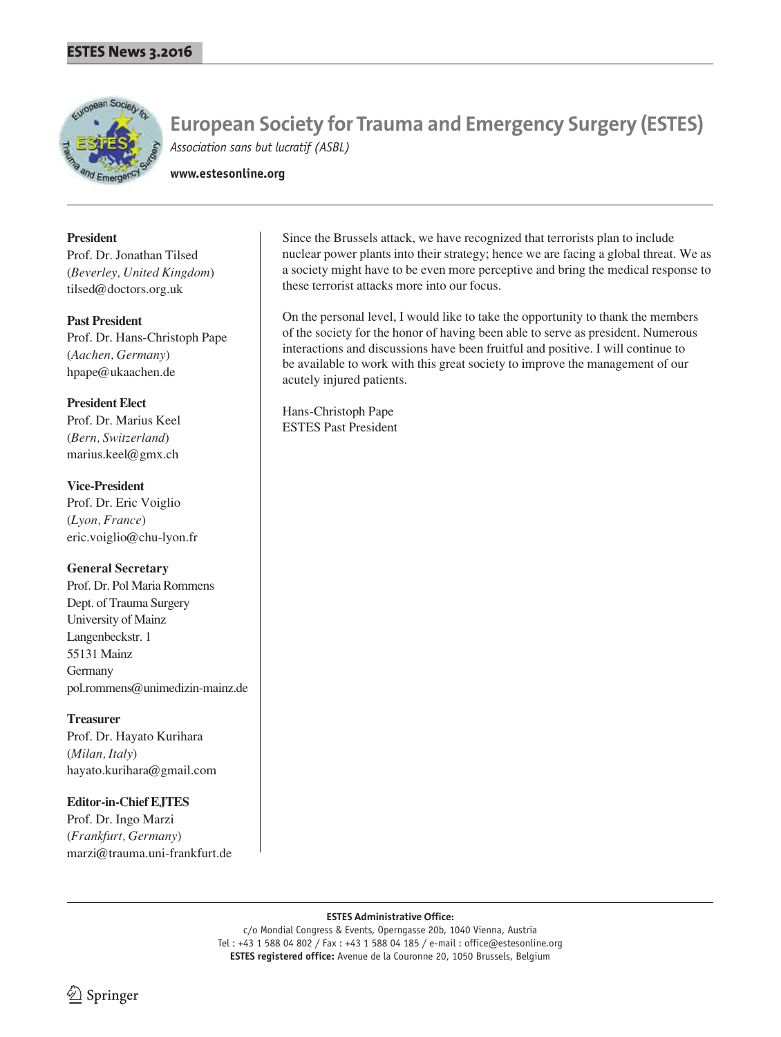

**www.estesonline.org**

#### **President**

Prof. Dr. Jonathan Tilsed (*Beverley, United Kingdom*) tilsed@doctors.org.uk

#### **Past President**

Prof. Dr. Hans-Christoph Pape (*Aachen, Germany*) hpape@ukaachen.de

#### **President Elect**

Prof. Dr. Marius Keel (*Bern, Switzerland*) marius.keel@gmx.ch

#### **Vice-President**

Prof. Dr. Eric Voiglio (*Lyon, France*) eric.voiglio@chu-lyon.fr

#### **General Secretary**

Prof. Dr. Pol Maria Rommens Dept. of Trauma Surgery University of Mainz Langenbeckstr. 1 55131 Mainz Germany pol.rommens@unimedizin-mainz.de

#### **Treasurer**

Prof. Dr. Hayato Kurihara (*Milan, Italy*) hayato.kurihara@gmail.com

#### **Editor-in-Chief EJTES**

Prof. Dr. Ingo Marzi (*Frankfurt, Germany*) marzi@trauma.uni-frankfurt.de

Since the Brussels attack, we have recognized that terrorists plan to include nuclear power plants into their strategy; hence we are facing a global threat. We as a society might have to be even more perceptive and bring the medical response to these terrorist attacks more into our focus.

On the personal level, I would like to take the opportunity to thank the members of the society for the honor of having been able to serve as president. Numerous interactions and discussions have been fruitful and positive. I will continue to be available to work with this great society to improve the management of our acutely injured patients.

Hans-Christoph Pape ESTES Past President

#### **ESTES Administrative Office:**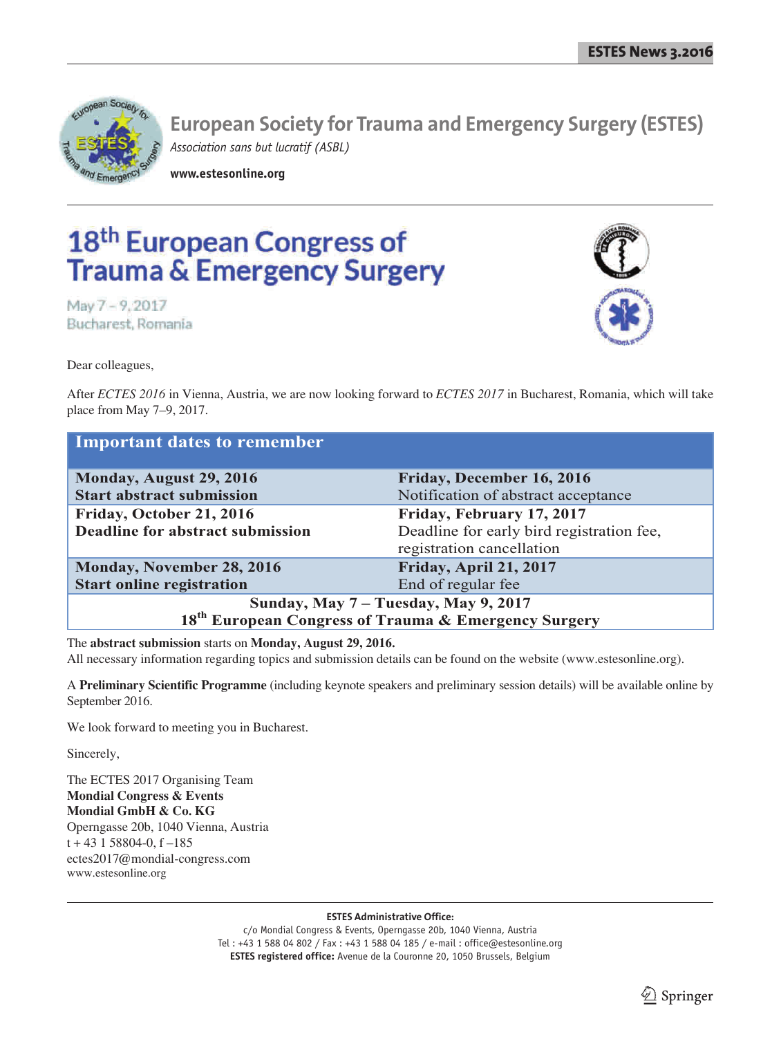

**www.estesonline.org**

# 18th European Congress of **Trauma & Emergency Surgery**

May 7 - 9, 2017 Bucharest, Romania

Dear colleagues,



After *ECTES 2016* in Vienna, Austria, we are now looking forward to *ECTES 2017* in Bucharest, Romania, which will take place from May 7–9, 2017.

| Important dates to remember                                      |                                           |  |
|------------------------------------------------------------------|-------------------------------------------|--|
| Monday, August 29, 2016                                          | Friday, December 16, 2016                 |  |
| <b>Start abstract submission</b>                                 | Notification of abstract acceptance       |  |
| Friday, October 21, 2016                                         | Friday, February 17, 2017                 |  |
| <b>Deadline for abstract submission</b>                          | Deadline for early bird registration fee, |  |
|                                                                  | registration cancellation                 |  |
| Monday, November 28, 2016                                        | Friday, April 21, 2017                    |  |
| <b>Start online registration</b>                                 | End of regular fee                        |  |
| Sunday, May 7 - Tuesday, May 9, 2017                             |                                           |  |
| 18 <sup>th</sup> European Congress of Trauma & Emergency Surgery |                                           |  |

The **abstract submission** starts on **Monday, August 29, 2016.** All necessary information regarding topics and submission details can be found on the website (www.estesonline.org).

A **Preliminary Scientific Programme** (including keynote speakers and preliminary session details) will be available online by September 2016.

We look forward to meeting you in Bucharest.

Sincerely,

The ECTES 2017 Organising Team **Mondial Congress & Events Mondial GmbH & Co. KG** Operngasse 20b, 1040 Vienna, Austria  $t + 43$  1 58804-0,  $f - 185$ ectes2017@mondial-congress.com www.estesonline.org

**ESTES Administrative Office:**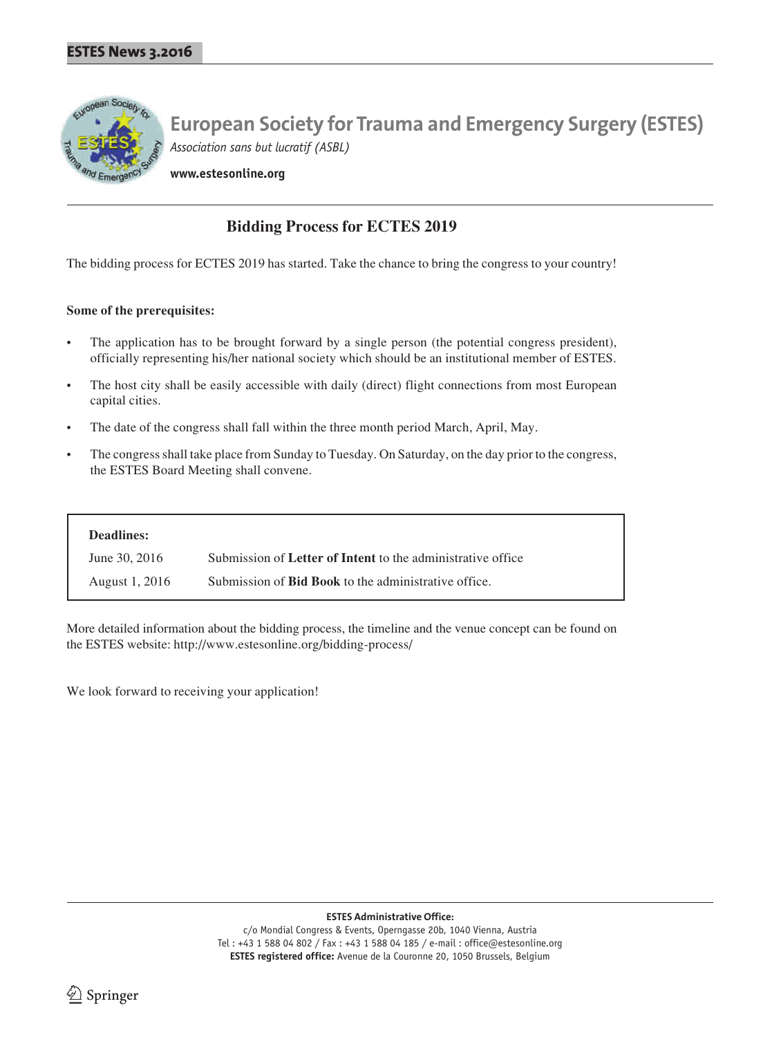

**www.estesonline.org**

## **Bidding Process for ECTES 2019**

The bidding process for ECTES 2019 has started. Take the chance to bring the congress to your country!

#### **Some of the prerequisites:**

- The application has to be brought forward by a single person (the potential congress president), officially representing his/her national society which should be an institutional member of ESTES.
- The host city shall be easily accessible with daily (direct) flight connections from most European capital cities.
- The date of the congress shall fall within the three month period March, April, May.
- The congress shall take place from Sunday to Tuesday. On Saturday, on the day prior to the congress, the ESTES Board Meeting shall convene.

| Deadlines:     |                                                             |
|----------------|-------------------------------------------------------------|
| June 30, 2016  | Submission of Letter of Intent to the administrative office |
| August 1, 2016 | Submission of <b>Bid Book</b> to the administrative office. |

More detailed information about the bidding process, the timeline and the venue concept can be found on the ESTES website: http://www.estesonline.org/bidding-process/

We look forward to receiving your application!

**ESTES Administrative Office:**

c/o Mondial Congress & Events, Operngasse 20b, 1040 Vienna, Austria Tel : +43 1 588 04 802 / Fax : +43 1 588 04 185 / e-mail : office@estesonline.org **ESTES registered office:** Avenue de la Couronne 20, 1050 Brussels, Belgium

 $\lrcorner$  Springer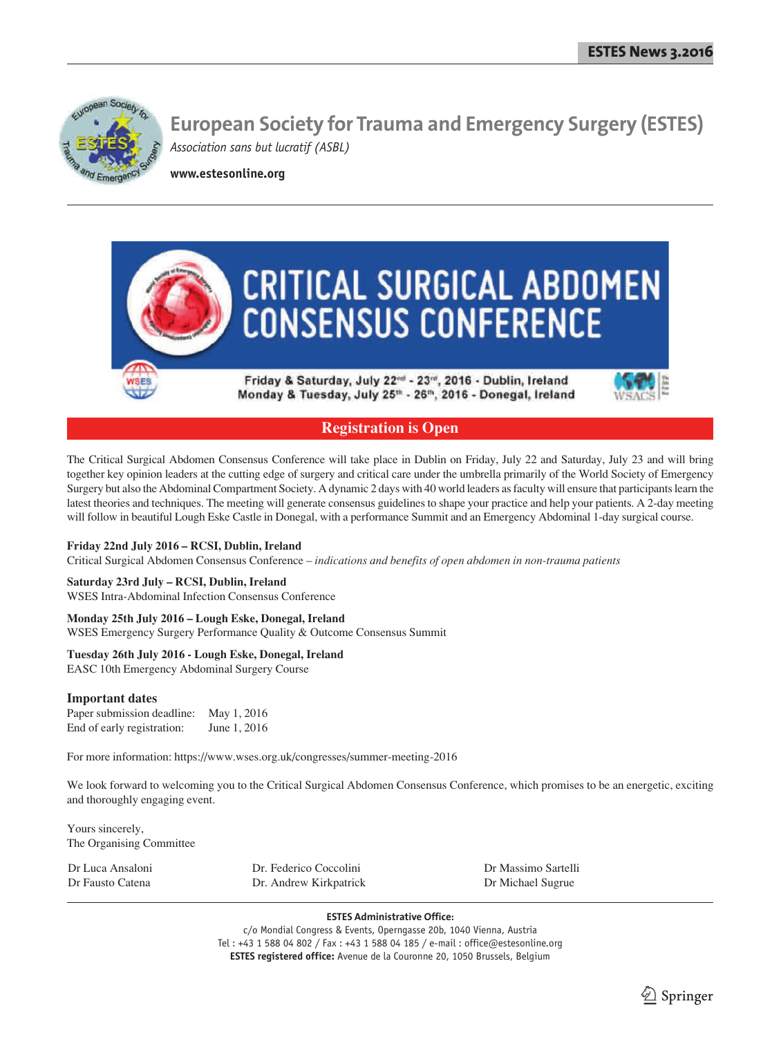

**www.estesonline.org**



## **Registration is Open**

The Critical Surgical Abdomen Consensus Conference will take place in Dublin on Friday, July 22 and Saturday, July 23 and will bring together key opinion leaders at the cutting edge of surgery and critical care under the umbrella primarily of the World Society of Emergency Surgery but also the Abdominal Compartment Society. A dynamic 2 days with 40 world leaders as faculty will ensure that participants learn the latest theories and techniques. The meeting will generate consensus guidelines to shape your practice and help your patients. A 2-day meeting will follow in beautiful Lough Eske Castle in Donegal, with a performance Summit and an Emergency Abdominal 1-day surgical course.

#### **Friday 22nd July 2016 – RCSI, Dublin, Ireland**

Critical Surgical Abdomen Consensus Conference – *indications and benefits of open abdomen in non-trauma patients* 

#### **Saturday 23rd July – RCSI, Dublin, Ireland**

WSES Intra-Abdominal Infection Consensus Conference

#### **Monday 25th July 2016 – Lough Eske, Donegal, Ireland**

WSES Emergency Surgery Performance Quality & Outcome Consensus Summit

#### **Tuesday 26th July 2016 - Lough Eske, Donegal, Ireland**

EASC 10th Emergency Abdominal Surgery Course

#### **Important dates**

Paper submission deadline: May 1, 2016 End of early registration: June 1, 2016

For more information: https://www.wses.org.uk/congresses/summer-meeting-2016

We look forward to welcoming you to the Critical Surgical Abdomen Consensus Conference, which promises to be an energetic, exciting and thoroughly engaging event.

Yours sincerely, The Organising Committee

| Dr Luca Ansaloni | Dr. Federico Coccolini | Dr Massimo Sartelli |
|------------------|------------------------|---------------------|
| Dr Fausto Catena | Dr. Andrew Kirkpatrick | Dr Michael Sugrue   |

**ESTES Administrative Office:**